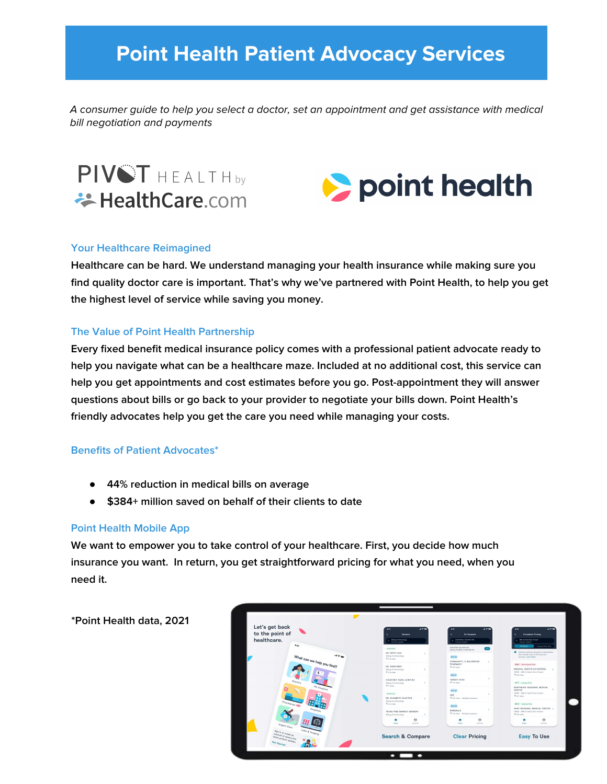# **Point Health Patient Advocacy Services**

A consumer guide to help you select a doctor, set an appointment and get assistance with medical bill negotiation and payments

PIVST HEALTH<sub>bv</sub> **₩ HealthCare.com** 



#### **Your Healthcare Reimagined**

**Healthcare can be hard. We understand managing your health insurance while making sure you find quality doctor care is important. That's why we've partnered with Point Health, to help you get the highest level of service while saving you money.**

#### **The Value of Point Health Partnership**

**Every fixed benefit medical insurance policy comes with a professional patient advocate ready to help you navigate what can be a healthcare maze. Included at no additional cost, this service can help you get appointments and cost estimates before you go. Post-appointment they will answer questions about bills or go back to your provider to negotiate your bills down. Point Health's friendly advocates help you get the care you need while managing your costs.**

#### **Benefits of Patient Advocates\***

- **44% reduction in medical bills on average**
- **\$384+ million saved on behalf of their clients to date**

#### **Point Health Mobile App**

**We want to empower you to take control of your healthcare. First, you decide how much insurance you want. In return, you get straightforward pricing for what you need, when you need it.**

**\*Point Health data, 2021**

| Alway & Innunoogy<br>Current Location<br>Great Price<br>DR. MAYA LELE<br>× | ALEUTEROL SULFATE HFA<br>Current Logardon<br>AURUSTEROL SULFATE MAIL<br><b>Total</b><br>Genesis, 80 MOS, 18 HFA ASK AD | Mill of blood flow of heart.<br>Current Logardon<br>Inclusor Price Only<br>All Senate                    |
|----------------------------------------------------------------------------|------------------------------------------------------------------------------------------------------------------------|----------------------------------------------------------------------------------------------------------|
|                                                                            |                                                                                                                        |                                                                                                          |
|                                                                            |                                                                                                                        |                                                                                                          |
| Alergy & Immunology<br>$9.2.3$ miles                                       | \$20.00                                                                                                                | C Inclusive calcula are given to procedures<br>that include most of the fees and<br>services, Leavy Mare |
| DR. AMIN MERY                                                              | COMMUNITY, A WALGREENS<br>×<br>PHARMACY<br>9 4.0 miles                                                                 | \$506 - Non-Inclusive Price<br>MEDICAL CENTER ENTERPRISE<br>- 5                                          |
| $9.3.6$ miles                                                              | \$40.95                                                                                                                | 70565 - MRI of blood flow of heart<br>$9.5.6$ miles                                                      |
| COURTNEY PARR, ACNP-RC<br>Alergy & Innuncingy<br>×<br><b>V 4 miles</b>     | 9 AA miles                                                                                                             | \$777 - Instance Price<br>NORTHEAST REGIONAL MEDICAL                                                     |
| <b>Orest Price</b><br>DR. ELISABETH CLAYTON<br>×                           | \$42.03<br>×<br>HER<br>P 3.0 miles - Multiple Locations                                                                | - 5<br>CENTER<br>75885 - MRI of blood Flow of heart<br><b>Q</b> B.T miles                                |
| $9.4.2$ miles<br>TEXAS FREE MARKET SURGERY                                 | \$43.08<br>RANDALLS                                                                                                    | \$543 - Inclusive Price<br>HUNT REGIONAL MEDICAL CENTER \<br>70565 - MRI of blood flow of heart          |
| Afergy & Immunellagy                                                       |                                                                                                                        | 9 0.0 miles<br>$\Theta$                                                                                  |
| Monte<br>Annune                                                            | <b>Bond</b><br>Annual                                                                                                  | ٠<br><b>Bond</b><br>Annual                                                                               |
| <b>Search &amp; Compare</b>                                                | <b>Clear Pricing</b>                                                                                                   |                                                                                                          |
|                                                                            | Alergy & Immunology<br>Alergy & Immunelogy<br>$\Theta$<br>٠                                                            | TARGET (CV8)<br>9 4.2 miles - Multiple Locations<br>$\theta$<br>٠                                        |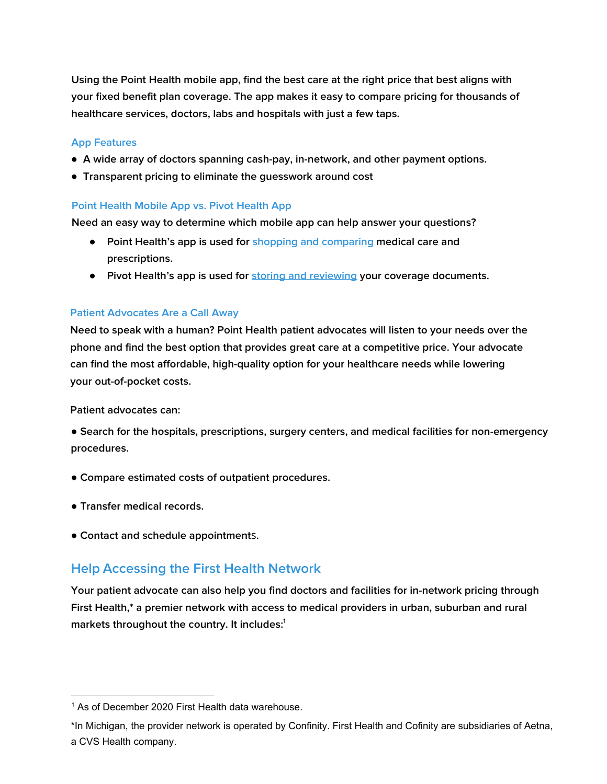**Using the Point Health mobile app, find the best care at the right price that best aligns with your fixed benefit plan coverage. The app makes it easy to compare pricing for thousands of healthcare services, doctors, labs and hospitals with just a few taps.**

#### **App Features**

- **A wide array of doctors spanning cash-pay, in-network, and other payment options.**
- **Transparent pricing to eliminate the guesswork around cost**

#### **Point Health Mobile App vs. Pivot Health App**

**Need an easy way to determine which mobile app can help answer your questions?**

- **Point Health's app is used for [shopping and comparing m](https://play.google.com/store/apps/details?id=com.pointhealth)edical care and prescriptions.**
- **Pivot Health's app is used for [storing and reviewing](https://apps.apple.com/us/app/pivot-health/id1520248059) your coverage documents.**

#### **Patient Advocates Are a Call Away**

**Need to speak with a human? Point Health patient advocates will listen to your needs over the phone and find the best option that provides great care at a competitive price. Your advocate can find the most affordable, high-quality option for your healthcare needs while lowering your out-of-pocket costs.**

**Patient advocates can:**

● **Search for the hospitals, prescriptions, surgery centers, and medical facilities for non-emergency procedures.**

- **Compare estimated costs of outpatient procedures.**
- **Transfer medical records.**
- **Contact and schedule appointment**s.

### **Help Accessing the First Health Network**

**Your patient advocate can also help you find doctors and facilities for in-network pricing through First Health,\* a premier network with access to medical providers in urban, suburban and rural markets throughout the country. It includes:<sup>1</sup>**

<sup>&</sup>lt;sup>1</sup> As of December 2020 First Health data warehouse.

<sup>\*</sup>In Michigan, the provider network is operated by Confinity. First Health and Cofinity are subsidiaries of Aetna, a CVS Health company.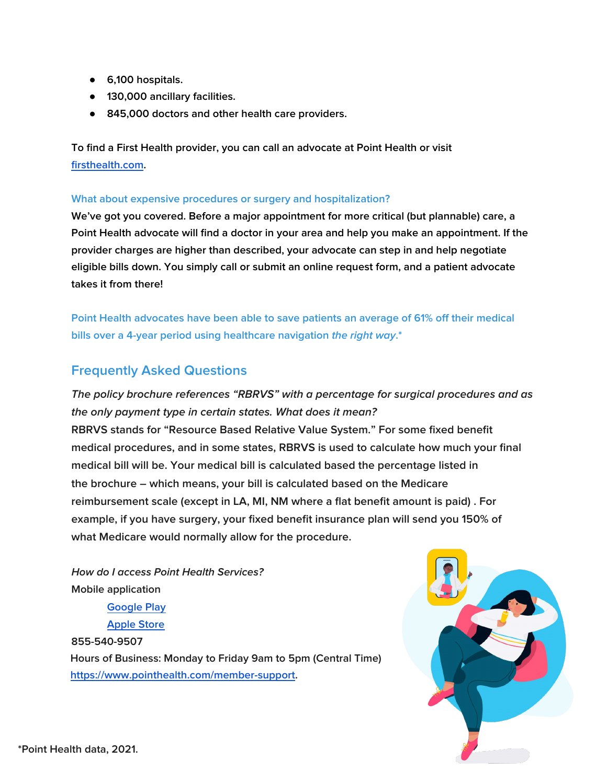- **6,100 hospitals.**
- **130,000 ancillary facilities.**
- **845,000 doctors and other health care providers.**

**To find a First Health provider, you can call an advocate at Point Health or visit [firsthealth.com.](https://providerlocator.firsthealth.com/home/index)**

#### **What about expensive procedures or surgery and hospitalization?**

**We've got you covered. Before a major appointment for more critical (but plannable) care, a Point Health advocate will find a doctor in your area and help you make an appointment. If the provider charges are higher than described, your advocate can step in and help negotiate eligible bills down. You simply call or submit an online request form, and a patient advocate takes it from there!**

**Point Health advocates have been able to save patients an average of 61% off their medical bills over a 4-year period using healthcare navigation the right way.\***

## **Frequently Asked Questions**

**The policy brochure references "RBRVS" with a percentage for surgical procedures and as the only payment type in certain states. What does it mean? RBRVS stands for "Resource Based Relative Value System." For some fixed benefit medical procedures, and in some states, RBRVS is used to calculate how much your final medical bill will be. Your medical bill is calculated based the percentage listed in the brochure – which means, your bill is calculated based on the Medicare reimbursement scale (except in LA, MI, NM where a flat benefit amount is paid) . For example, if you have surgery, your fixed benefit insurance plan will send you 150% of what Medicare would normally allow for the procedure.**

**How do I access Point Health Services? Mobile application**

> **[Google Play](https://play.google.com/store?hl=en_US&gl=US) [Apple Store](https://apps.apple.com/us/app/apple-store/id375380948)**

**855-540-9507 Hours of Business: Monday to Friday 9am to 5pm (Central Time) [https://www.pointhealth.com/member-support.](https://www.pointhealth.com/member-support)**